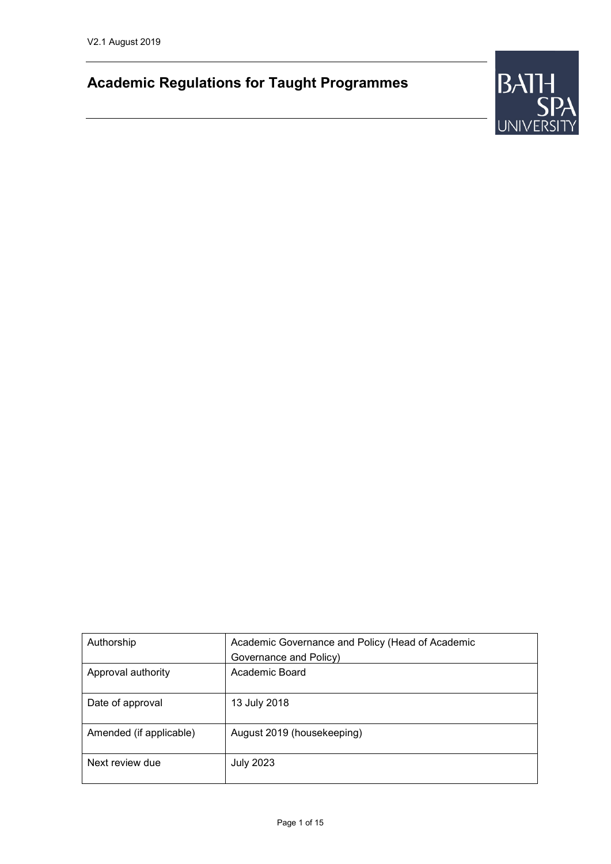# **Academic Regulations for Taught Programmes**



| Authorship              | Academic Governance and Policy (Head of Academic<br>Governance and Policy) |
|-------------------------|----------------------------------------------------------------------------|
| Approval authority      | Academic Board                                                             |
| Date of approval        | 13 July 2018                                                               |
| Amended (if applicable) | August 2019 (housekeeping)                                                 |
| Next review due         | <b>July 2023</b>                                                           |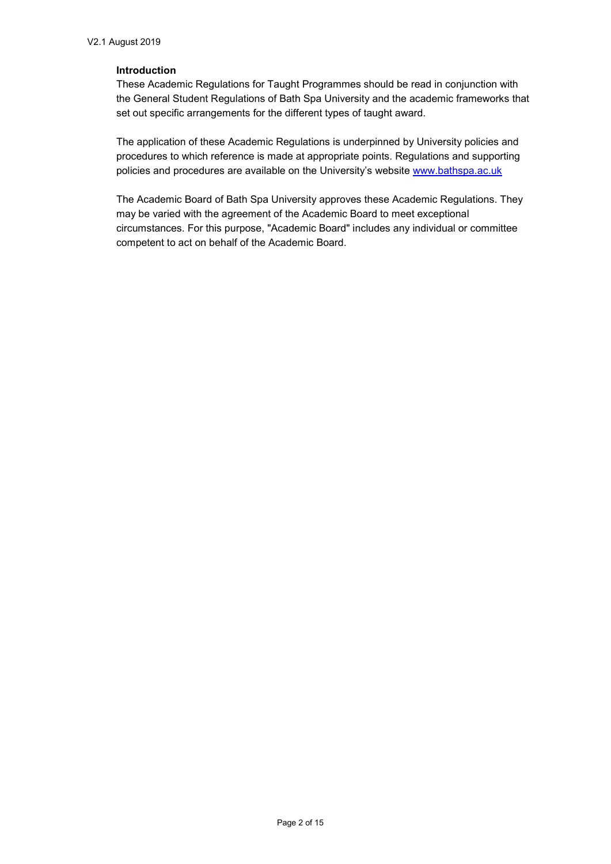#### **Introduction**

These Academic Regulations for Taught Programmes should be read in conjunction with the General Student Regulations of Bath Spa University and the academic frameworks that set out specific arrangements for the different types of taught award.

The application of these Academic Regulations is underpinned by University policies and procedures to which reference is made at appropriate points. Regulations and supporting policies and procedures are available on the University's website [www.bathspa.ac.uk](http://www.bathspa.ac.uk/)

The Academic Board of Bath Spa University approves these Academic Regulations. They may be varied with the agreement of the Academic Board to meet exceptional circumstances. For this purpose, "Academic Board" includes any individual or committee competent to act on behalf of the Academic Board.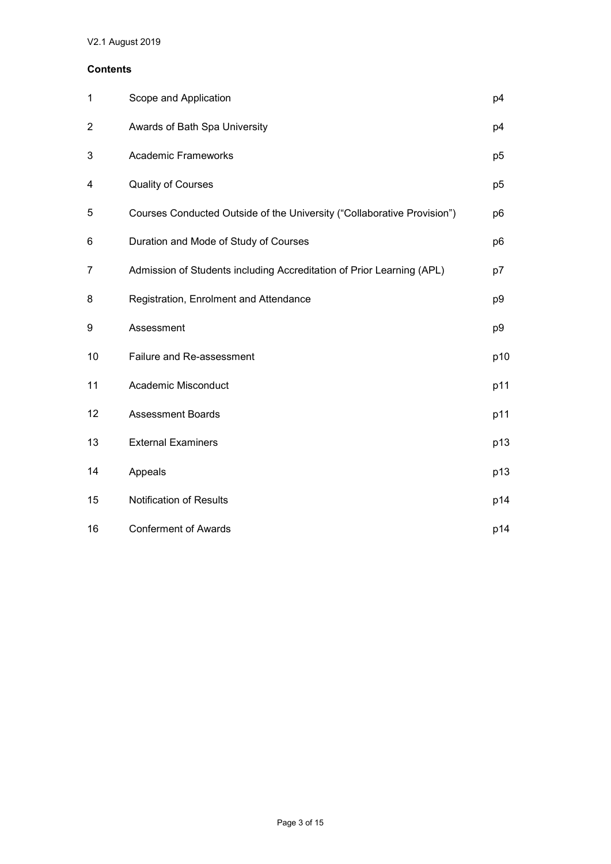## **Contents**

| $\mathbf 1$             | Scope and Application                                                   | p4             |
|-------------------------|-------------------------------------------------------------------------|----------------|
| $\overline{\mathbf{c}}$ | Awards of Bath Spa University                                           | p4             |
| 3                       | <b>Academic Frameworks</b>                                              | p <sub>5</sub> |
| 4                       | <b>Quality of Courses</b>                                               | p <sub>5</sub> |
| 5                       | Courses Conducted Outside of the University ("Collaborative Provision") | p6             |
| 6                       | Duration and Mode of Study of Courses                                   | p6             |
| 7                       | Admission of Students including Accreditation of Prior Learning (APL)   | p7             |
| 8                       | Registration, Enrolment and Attendance                                  | p9             |
| 9                       | Assessment                                                              | p9             |
| 10                      | Failure and Re-assessment                                               | p10            |
| 11                      | Academic Misconduct                                                     | p11            |
| 12                      | <b>Assessment Boards</b>                                                | p11            |
| 13                      | <b>External Examiners</b>                                               | p13            |
| 14                      | Appeals                                                                 | p13            |
| 15                      | <b>Notification of Results</b>                                          | p14            |
| 16                      | <b>Conferment of Awards</b>                                             | p14            |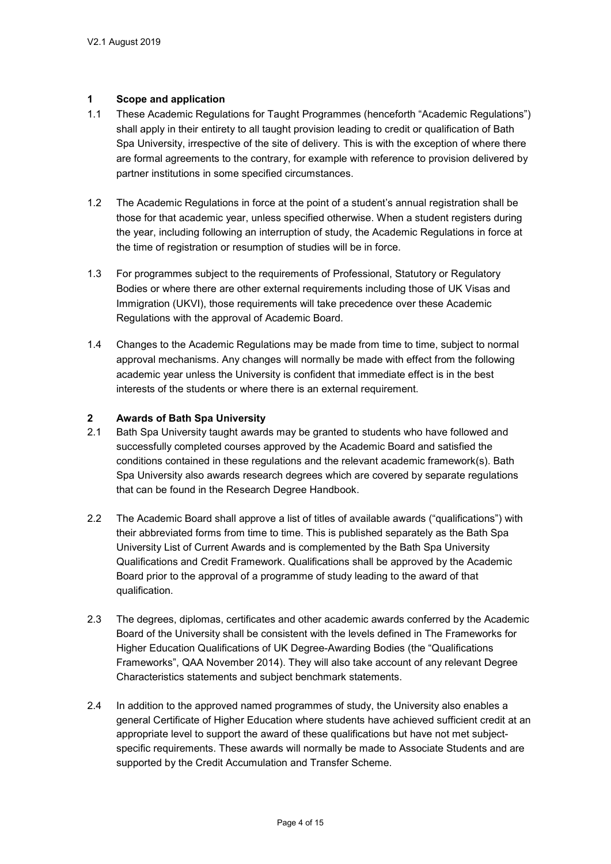#### **1 Scope and application**

- 1.1 These Academic Regulations for Taught Programmes (henceforth "Academic Regulations") shall apply in their entirety to all taught provision leading to credit or qualification of Bath Spa University, irrespective of the site of delivery. This is with the exception of where there are formal agreements to the contrary, for example with reference to provision delivered by partner institutions in some specified circumstances.
- 1.2 The Academic Regulations in force at the point of a student's annual registration shall be those for that academic year, unless specified otherwise. When a student registers during the year, including following an interruption of study, the Academic Regulations in force at the time of registration or resumption of studies will be in force.
- 1.3 For programmes subject to the requirements of Professional, Statutory or Regulatory Bodies or where there are other external requirements including those of UK Visas and Immigration (UKVI), those requirements will take precedence over these Academic Regulations with the approval of Academic Board.
- 1.4 Changes to the Academic Regulations may be made from time to time, subject to normal approval mechanisms. Any changes will normally be made with effect from the following academic year unless the University is confident that immediate effect is in the best interests of the students or where there is an external requirement.

#### **2 Awards of Bath Spa University**

- 2.1 Bath Spa University taught awards may be granted to students who have followed and successfully completed courses approved by the Academic Board and satisfied the conditions contained in these regulations and the relevant academic framework(s). Bath Spa University also awards research degrees which are covered by separate regulations that can be found in the Research Degree Handbook.
- 2.2 The Academic Board shall approve a list of titles of available awards ("qualifications") with their abbreviated forms from time to time. This is published separately as the Bath Spa University List of Current Awards and is complemented by the Bath Spa University Qualifications and Credit Framework. Qualifications shall be approved by the Academic Board prior to the approval of a programme of study leading to the award of that qualification.
- 2.3 The degrees, diplomas, certificates and other academic awards conferred by the Academic Board of the University shall be consistent with the levels defined in The Frameworks for Higher Education Qualifications of UK Degree-Awarding Bodies (the "Qualifications Frameworks", QAA November 2014). They will also take account of any relevant Degree Characteristics statements and subject benchmark statements.
- 2.4 In addition to the approved named programmes of study, the University also enables a general Certificate of Higher Education where students have achieved sufficient credit at an appropriate level to support the award of these qualifications but have not met subjectspecific requirements. These awards will normally be made to Associate Students and are supported by the Credit Accumulation and Transfer Scheme.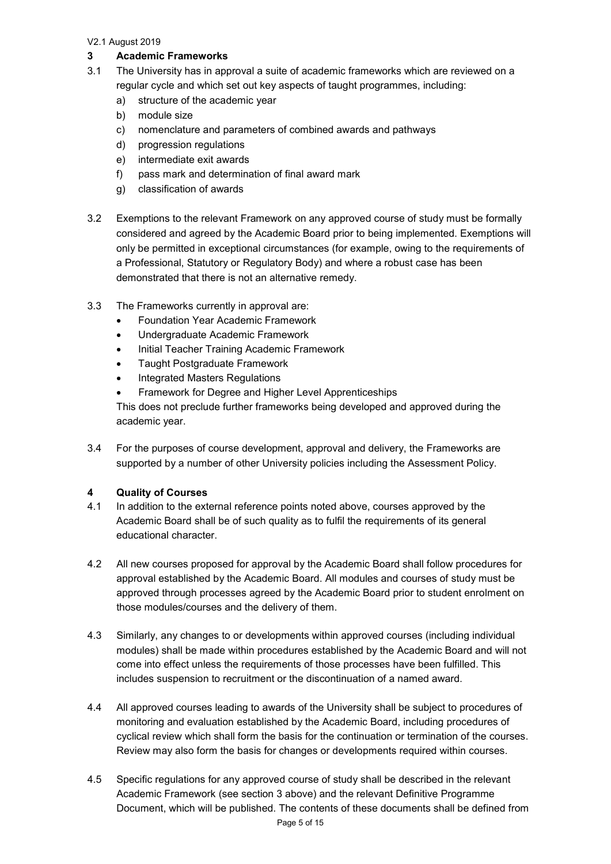# **3 Academic Frameworks**

- 3.1 The University has in approval a suite of academic frameworks which are reviewed on a regular cycle and which set out key aspects of taught programmes, including:
	- a) structure of the academic year
	- b) module size
	- c) nomenclature and parameters of combined awards and pathways
	- d) progression regulations
	- e) intermediate exit awards
	- f) pass mark and determination of final award mark
	- g) classification of awards
- 3.2 Exemptions to the relevant Framework on any approved course of study must be formally considered and agreed by the Academic Board prior to being implemented. Exemptions will only be permitted in exceptional circumstances (for example, owing to the requirements of a Professional, Statutory or Regulatory Body) and where a robust case has been demonstrated that there is not an alternative remedy.
- 3.3 The Frameworks currently in approval are:
	- Foundation Year Academic Framework
	- Undergraduate Academic Framework
	- Initial Teacher Training Academic Framework
	- Taught Postgraduate Framework
	- Integrated Masters Regulations
	- Framework for Degree and Higher Level Apprenticeships

This does not preclude further frameworks being developed and approved during the academic year.

3.4 For the purposes of course development, approval and delivery, the Frameworks are supported by a number of other University policies including the Assessment Policy.

# **4 Quality of Courses**

- 4.1 In addition to the external reference points noted above, courses approved by the Academic Board shall be of such quality as to fulfil the requirements of its general educational character.
- 4.2 All new courses proposed for approval by the Academic Board shall follow procedures for approval established by the Academic Board. All modules and courses of study must be approved through processes agreed by the Academic Board prior to student enrolment on those modules/courses and the delivery of them.
- 4.3 Similarly, any changes to or developments within approved courses (including individual modules) shall be made within procedures established by the Academic Board and will not come into effect unless the requirements of those processes have been fulfilled. This includes suspension to recruitment or the discontinuation of a named award.
- 4.4 All approved courses leading to awards of the University shall be subject to procedures of monitoring and evaluation established by the Academic Board, including procedures of cyclical review which shall form the basis for the continuation or termination of the courses. Review may also form the basis for changes or developments required within courses.
- 4.5 Specific regulations for any approved course of study shall be described in the relevant Academic Framework (see section 3 above) and the relevant Definitive Programme Document, which will be published. The contents of these documents shall be defined from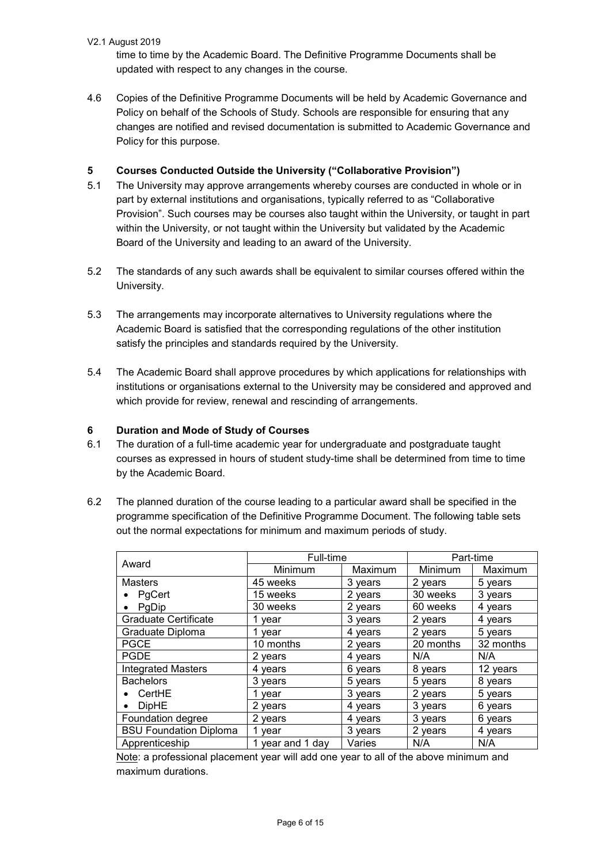time to time by the Academic Board. The Definitive Programme Documents shall be updated with respect to any changes in the course.

4.6 Copies of the Definitive Programme Documents will be held by Academic Governance and Policy on behalf of the Schools of Study. Schools are responsible for ensuring that any changes are notified and revised documentation is submitted to Academic Governance and Policy for this purpose.

# **5 Courses Conducted Outside the University ("Collaborative Provision")**

- 5.1 The University may approve arrangements whereby courses are conducted in whole or in part by external institutions and organisations, typically referred to as "Collaborative Provision". Such courses may be courses also taught within the University, or taught in part within the University, or not taught within the University but validated by the Academic Board of the University and leading to an award of the University.
- 5.2 The standards of any such awards shall be equivalent to similar courses offered within the University.
- 5.3 The arrangements may incorporate alternatives to University regulations where the Academic Board is satisfied that the corresponding regulations of the other institution satisfy the principles and standards required by the University.
- 5.4 The Academic Board shall approve procedures by which applications for relationships with institutions or organisations external to the University may be considered and approved and which provide for review, renewal and rescinding of arrangements.

# **6 Duration and Mode of Study of Courses**

- 6.1 The duration of a full-time academic year for undergraduate and postgraduate taught courses as expressed in hours of student study-time shall be determined from time to time by the Academic Board.
- 6.2 The planned duration of the course leading to a particular award shall be specified in the programme specification of the Definitive Programme Document. The following table sets out the normal expectations for minimum and maximum periods of study.

|                               | Full-time        |         | Part-time |           |
|-------------------------------|------------------|---------|-----------|-----------|
| Award                         | Minimum          | Maximum | Minimum   | Maximum   |
| <b>Masters</b>                | 45 weeks         | 3 years | 2 years   | 5 years   |
| PgCert                        | 15 weeks         | 2 years | 30 weeks  | 3 years   |
| PgDip<br>$\bullet$            | 30 weeks         | 2 years | 60 weeks  | 4 years   |
| <b>Graduate Certificate</b>   | 1 year           | 3 years | 2 years   | 4 years   |
| Graduate Diploma              | 1 year           | 4 years | 2 years   | 5 years   |
| <b>PGCE</b>                   | 10 months        | 2 years | 20 months | 32 months |
| <b>PGDE</b>                   | 2 years          | 4 vears | N/A       | N/A       |
| <b>Integrated Masters</b>     | 4 years          | 6 years | 8 years   | 12 years  |
| <b>Bachelors</b>              | 3 years          | 5 years | 5 years   | 8 years   |
| CertHE<br>$\bullet$           | 1 vear           | 3 years | 2 years   | 5 years   |
| <b>DipHE</b><br>$\bullet$     | 2 years          | 4 years | 3 years   | 6 years   |
| Foundation degree             | 2 years          | 4 years | 3 years   | 6 years   |
| <b>BSU Foundation Diploma</b> | 1 year           | 3 years | 2 years   | 4 years   |
| Apprenticeship                | 1 year and 1 day | Varies  | N/A       | N/A       |

Note: a professional placement year will add one year to all of the above minimum and maximum durations.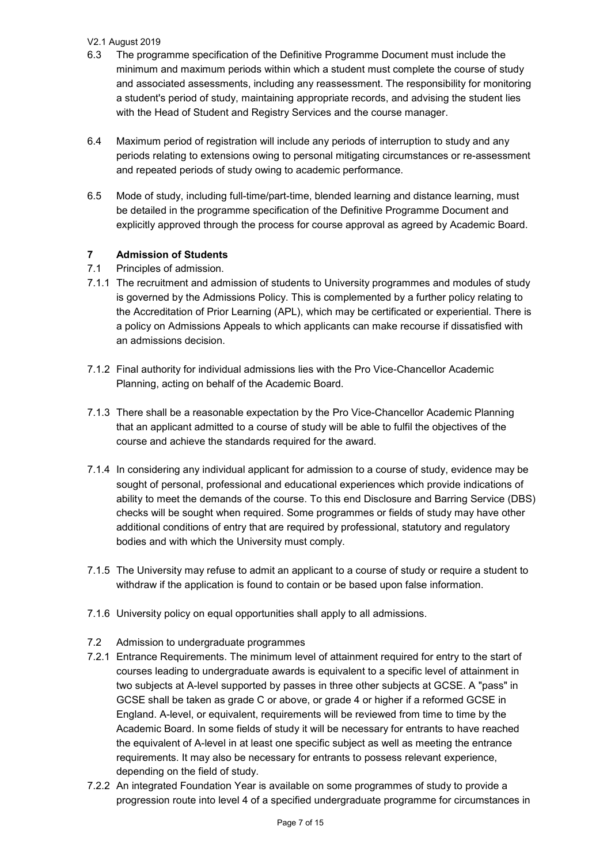- 6.3 The programme specification of the Definitive Programme Document must include the minimum and maximum periods within which a student must complete the course of study and associated assessments, including any reassessment. The responsibility for monitoring a student's period of study, maintaining appropriate records, and advising the student lies with the Head of Student and Registry Services and the course manager.
- 6.4 Maximum period of registration will include any periods of interruption to study and any periods relating to extensions owing to personal mitigating circumstances or re-assessment and repeated periods of study owing to academic performance.
- 6.5 Mode of study, including full-time/part-time, blended learning and distance learning, must be detailed in the programme specification of the Definitive Programme Document and explicitly approved through the process for course approval as agreed by Academic Board.

# **7 Admission of Students**

- 7.1 Principles of admission.
- 7.1.1 The recruitment and admission of students to University programmes and modules of study is governed by the Admissions Policy. This is complemented by a further policy relating to the Accreditation of Prior Learning (APL), which may be certificated or experiential. There is a policy on Admissions Appeals to which applicants can make recourse if dissatisfied with an admissions decision.
- 7.1.2 Final authority for individual admissions lies with the Pro Vice-Chancellor Academic Planning, acting on behalf of the Academic Board.
- 7.1.3 There shall be a reasonable expectation by the Pro Vice-Chancellor Academic Planning that an applicant admitted to a course of study will be able to fulfil the objectives of the course and achieve the standards required for the award.
- 7.1.4 In considering any individual applicant for admission to a course of study, evidence may be sought of personal, professional and educational experiences which provide indications of ability to meet the demands of the course. To this end Disclosure and Barring Service (DBS) checks will be sought when required. Some programmes or fields of study may have other additional conditions of entry that are required by professional, statutory and regulatory bodies and with which the University must comply.
- 7.1.5 The University may refuse to admit an applicant to a course of study or require a student to withdraw if the application is found to contain or be based upon false information.
- 7.1.6 University policy on equal opportunities shall apply to all admissions.
- 7.2 Admission to undergraduate programmes
- 7.2.1 Entrance Requirements. The minimum level of attainment required for entry to the start of courses leading to undergraduate awards is equivalent to a specific level of attainment in two subjects at A-level supported by passes in three other subjects at GCSE. A "pass" in GCSE shall be taken as grade C or above, or grade 4 or higher if a reformed GCSE in England. A-level, or equivalent, requirements will be reviewed from time to time by the Academic Board. In some fields of study it will be necessary for entrants to have reached the equivalent of A-level in at least one specific subject as well as meeting the entrance requirements. It may also be necessary for entrants to possess relevant experience, depending on the field of study.
- 7.2.2 An integrated Foundation Year is available on some programmes of study to provide a progression route into level 4 of a specified undergraduate programme for circumstances in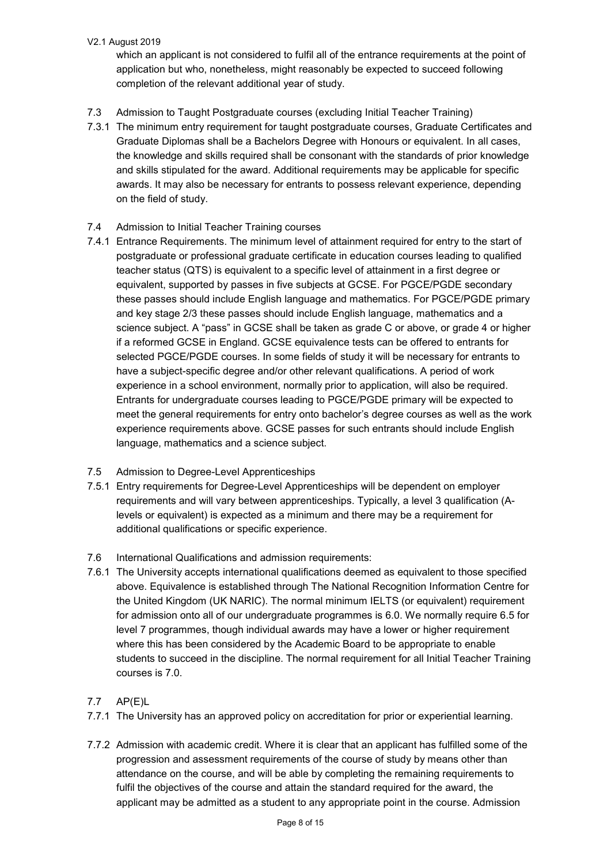which an applicant is not considered to fulfil all of the entrance requirements at the point of application but who, nonetheless, might reasonably be expected to succeed following completion of the relevant additional year of study.

- 7.3 Admission to Taught Postgraduate courses (excluding Initial Teacher Training)
- 7.3.1 The minimum entry requirement for taught postgraduate courses, Graduate Certificates and Graduate Diplomas shall be a Bachelors Degree with Honours or equivalent. In all cases, the knowledge and skills required shall be consonant with the standards of prior knowledge and skills stipulated for the award. Additional requirements may be applicable for specific awards. It may also be necessary for entrants to possess relevant experience, depending on the field of study.
- 7.4 Admission to Initial Teacher Training courses
- 7.4.1 Entrance Requirements. The minimum level of attainment required for entry to the start of postgraduate or professional graduate certificate in education courses leading to qualified teacher status (QTS) is equivalent to a specific level of attainment in a first degree or equivalent, supported by passes in five subjects at GCSE. For PGCE/PGDE secondary these passes should include English language and mathematics. For PGCE/PGDE primary and key stage 2/3 these passes should include English language, mathematics and a science subject. A "pass" in GCSE shall be taken as grade C or above, or grade 4 or higher if a reformed GCSE in England. GCSE equivalence tests can be offered to entrants for selected PGCE/PGDE courses. In some fields of study it will be necessary for entrants to have a subject-specific degree and/or other relevant qualifications. A period of work experience in a school environment, normally prior to application, will also be required. Entrants for undergraduate courses leading to PGCE/PGDE primary will be expected to meet the general requirements for entry onto bachelor's degree courses as well as the work experience requirements above. GCSE passes for such entrants should include English language, mathematics and a science subject.
- 7.5 Admission to Degree-Level Apprenticeships
- 7.5.1 Entry requirements for Degree-Level Apprenticeships will be dependent on employer requirements and will vary between apprenticeships. Typically, a level 3 qualification (Alevels or equivalent) is expected as a minimum and there may be a requirement for additional qualifications or specific experience.
- 7.6 International Qualifications and admission requirements:
- 7.6.1 The University accepts international qualifications deemed as equivalent to those specified above. Equivalence is established through The National Recognition Information Centre for the United Kingdom (UK NARIC). The normal minimum IELTS (or equivalent) requirement for admission onto all of our undergraduate programmes is 6.0. We normally require 6.5 for level 7 programmes, though individual awards may have a lower or higher requirement where this has been considered by the Academic Board to be appropriate to enable students to succeed in the discipline. The normal requirement for all Initial Teacher Training courses is 7.0.

# 7.7 AP(E)L

- 7.7.1 The University has an approved policy on accreditation for prior or experiential learning.
- 7.7.2 Admission with academic credit. Where it is clear that an applicant has fulfilled some of the progression and assessment requirements of the course of study by means other than attendance on the course, and will be able by completing the remaining requirements to fulfil the objectives of the course and attain the standard required for the award, the applicant may be admitted as a student to any appropriate point in the course. Admission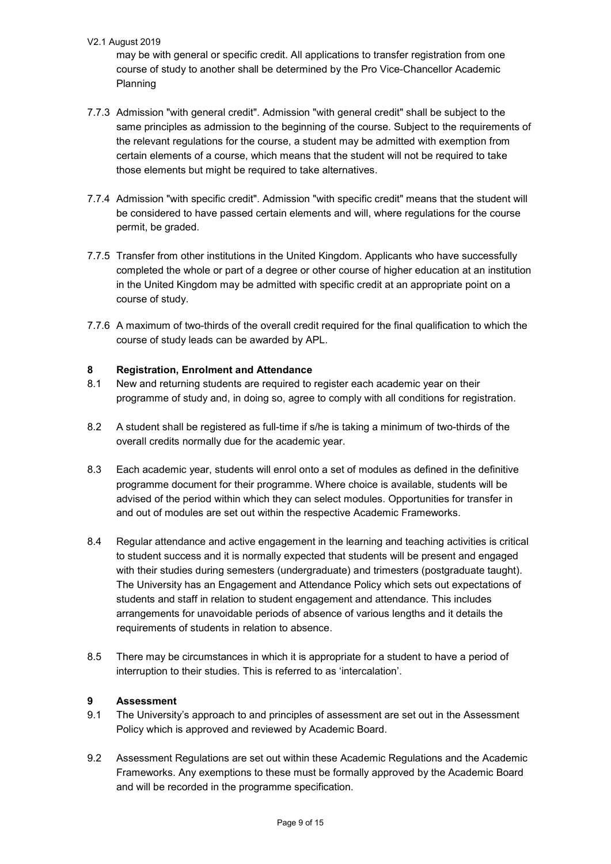may be with general or specific credit. All applications to transfer registration from one course of study to another shall be determined by the Pro Vice-Chancellor Academic Planning

- 7.7.3 Admission "with general credit". Admission "with general credit" shall be subject to the same principles as admission to the beginning of the course. Subject to the requirements of the relevant regulations for the course, a student may be admitted with exemption from certain elements of a course, which means that the student will not be required to take those elements but might be required to take alternatives.
- 7.7.4 Admission "with specific credit". Admission "with specific credit" means that the student will be considered to have passed certain elements and will, where regulations for the course permit, be graded.
- 7.7.5 Transfer from other institutions in the United Kingdom. Applicants who have successfully completed the whole or part of a degree or other course of higher education at an institution in the United Kingdom may be admitted with specific credit at an appropriate point on a course of study.
- 7.7.6 A maximum of two-thirds of the overall credit required for the final qualification to which the course of study leads can be awarded by APL.

# **8 Registration, Enrolment and Attendance**

- 8.1 New and returning students are required to register each academic year on their programme of study and, in doing so, agree to comply with all conditions for registration.
- 8.2 A student shall be registered as full-time if s/he is taking a minimum of two-thirds of the overall credits normally due for the academic year.
- 8.3 Each academic year, students will enrol onto a set of modules as defined in the definitive programme document for their programme. Where choice is available, students will be advised of the period within which they can select modules. Opportunities for transfer in and out of modules are set out within the respective Academic Frameworks.
- 8.4 Regular attendance and active engagement in the learning and teaching activities is critical to student success and it is normally expected that students will be present and engaged with their studies during semesters (undergraduate) and trimesters (postgraduate taught). The University has an Engagement and Attendance Policy which sets out expectations of students and staff in relation to student engagement and attendance. This includes arrangements for unavoidable periods of absence of various lengths and it details the requirements of students in relation to absence.
- 8.5 There may be circumstances in which it is appropriate for a student to have a period of interruption to their studies. This is referred to as 'intercalation'.

# **9 Assessment**

- 9.1 The University's approach to and principles of assessment are set out in the Assessment Policy which is approved and reviewed by Academic Board.
- 9.2 Assessment Regulations are set out within these Academic Regulations and the Academic Frameworks. Any exemptions to these must be formally approved by the Academic Board and will be recorded in the programme specification.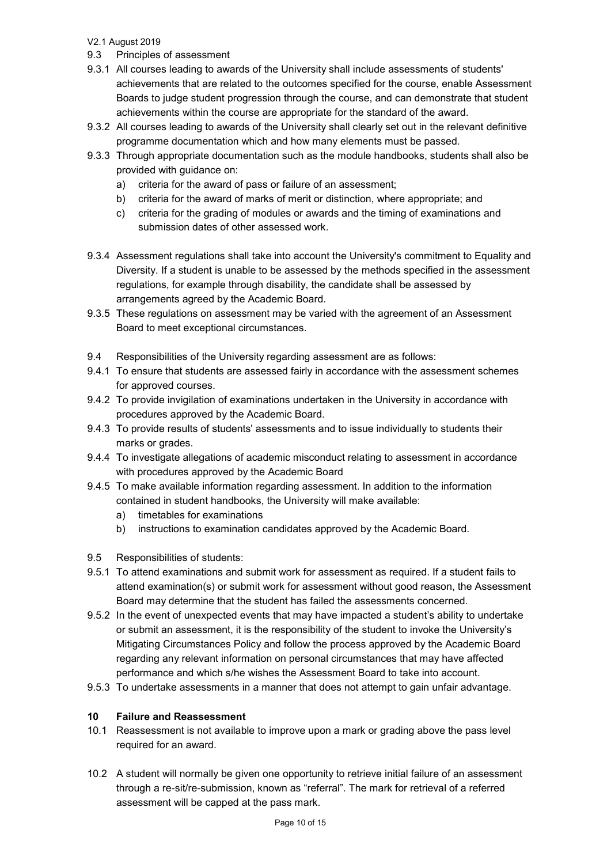- 9.3 Principles of assessment
- 9.3.1 All courses leading to awards of the University shall include assessments of students' achievements that are related to the outcomes specified for the course, enable Assessment Boards to judge student progression through the course, and can demonstrate that student achievements within the course are appropriate for the standard of the award.
- 9.3.2 All courses leading to awards of the University shall clearly set out in the relevant definitive programme documentation which and how many elements must be passed.
- 9.3.3 Through appropriate documentation such as the module handbooks, students shall also be provided with guidance on:
	- a) criteria for the award of pass or failure of an assessment;
	- b) criteria for the award of marks of merit or distinction, where appropriate; and
	- c) criteria for the grading of modules or awards and the timing of examinations and submission dates of other assessed work.
- 9.3.4 Assessment regulations shall take into account the University's commitment to Equality and Diversity. If a student is unable to be assessed by the methods specified in the assessment regulations, for example through disability, the candidate shall be assessed by arrangements agreed by the Academic Board.
- 9.3.5 These regulations on assessment may be varied with the agreement of an Assessment Board to meet exceptional circumstances.
- 9.4 Responsibilities of the University regarding assessment are as follows:
- 9.4.1 To ensure that students are assessed fairly in accordance with the assessment schemes for approved courses.
- 9.4.2 To provide invigilation of examinations undertaken in the University in accordance with procedures approved by the Academic Board.
- 9.4.3 To provide results of students' assessments and to issue individually to students their marks or grades.
- 9.4.4 To investigate allegations of academic misconduct relating to assessment in accordance with procedures approved by the Academic Board
- 9.4.5 To make available information regarding assessment. In addition to the information contained in student handbooks, the University will make available:
	- a) timetables for examinations
	- b) instructions to examination candidates approved by the Academic Board.
- 9.5 Responsibilities of students:
- 9.5.1 To attend examinations and submit work for assessment as required. If a student fails to attend examination(s) or submit work for assessment without good reason, the Assessment Board may determine that the student has failed the assessments concerned.
- 9.5.2 In the event of unexpected events that may have impacted a student's ability to undertake or submit an assessment, it is the responsibility of the student to invoke the University's Mitigating Circumstances Policy and follow the process approved by the Academic Board regarding any relevant information on personal circumstances that may have affected performance and which s/he wishes the Assessment Board to take into account.
- 9.5.3 To undertake assessments in a manner that does not attempt to gain unfair advantage.

# **10 Failure and Reassessment**

- 10.1 Reassessment is not available to improve upon a mark or grading above the pass level required for an award.
- 10.2 A student will normally be given one opportunity to retrieve initial failure of an assessment through a re-sit/re-submission, known as "referral". The mark for retrieval of a referred assessment will be capped at the pass mark.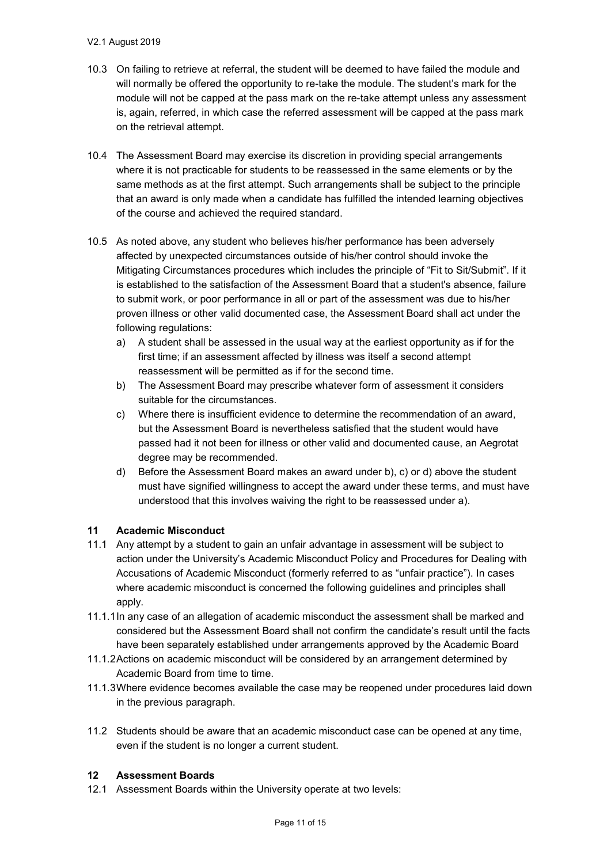- 10.3 On failing to retrieve at referral, the student will be deemed to have failed the module and will normally be offered the opportunity to re-take the module. The student's mark for the module will not be capped at the pass mark on the re-take attempt unless any assessment is, again, referred, in which case the referred assessment will be capped at the pass mark on the retrieval attempt.
- 10.4 The Assessment Board may exercise its discretion in providing special arrangements where it is not practicable for students to be reassessed in the same elements or by the same methods as at the first attempt. Such arrangements shall be subject to the principle that an award is only made when a candidate has fulfilled the intended learning objectives of the course and achieved the required standard.
- 10.5 As noted above, any student who believes his/her performance has been adversely affected by unexpected circumstances outside of his/her control should invoke the Mitigating Circumstances procedures which includes the principle of "Fit to Sit/Submit". If it is established to the satisfaction of the Assessment Board that a student's absence, failure to submit work, or poor performance in all or part of the assessment was due to his/her proven illness or other valid documented case, the Assessment Board shall act under the following regulations:
	- a) A student shall be assessed in the usual way at the earliest opportunity as if for the first time; if an assessment affected by illness was itself a second attempt reassessment will be permitted as if for the second time.
	- b) The Assessment Board may prescribe whatever form of assessment it considers suitable for the circumstances.
	- c) Where there is insufficient evidence to determine the recommendation of an award, but the Assessment Board is nevertheless satisfied that the student would have passed had it not been for illness or other valid and documented cause, an Aegrotat degree may be recommended.
	- d) Before the Assessment Board makes an award under b), c) or d) above the student must have signified willingness to accept the award under these terms, and must have understood that this involves waiving the right to be reassessed under a).

#### **11 Academic Misconduct**

- 11.1 Any attempt by a student to gain an unfair advantage in assessment will be subject to action under the University's Academic Misconduct Policy and Procedures for Dealing with Accusations of Academic Misconduct (formerly referred to as "unfair practice"). In cases where academic misconduct is concerned the following guidelines and principles shall apply.
- 11.1.1In any case of an allegation of academic misconduct the assessment shall be marked and considered but the Assessment Board shall not confirm the candidate's result until the facts have been separately established under arrangements approved by the Academic Board
- 11.1.2Actions on academic misconduct will be considered by an arrangement determined by Academic Board from time to time.
- 11.1.3Where evidence becomes available the case may be reopened under procedures laid down in the previous paragraph.
- 11.2 Students should be aware that an academic misconduct case can be opened at any time, even if the student is no longer a current student.

#### **12 Assessment Boards**

12.1 Assessment Boards within the University operate at two levels: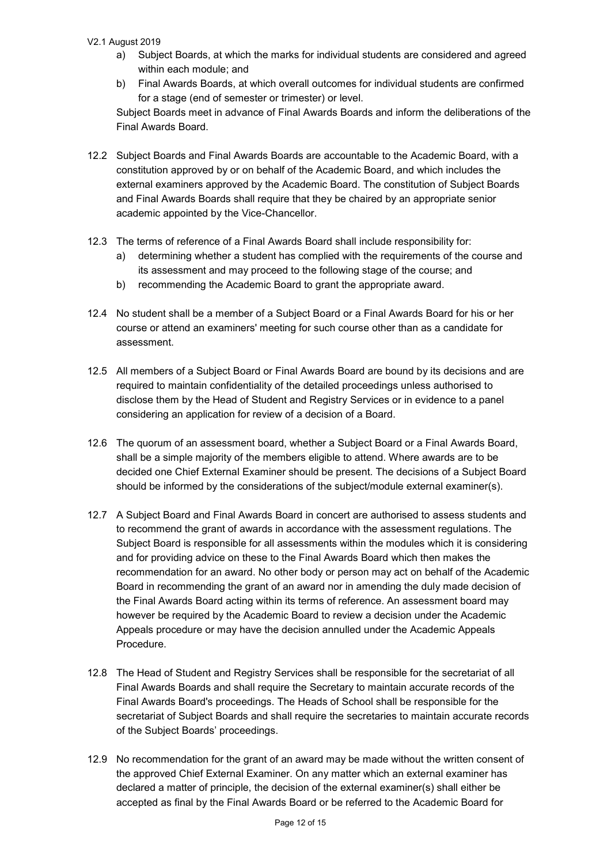- a) Subject Boards, at which the marks for individual students are considered and agreed within each module; and
- b) Final Awards Boards, at which overall outcomes for individual students are confirmed for a stage (end of semester or trimester) or level. Subject Boards meet in advance of Final Awards Boards and inform the deliberations of the Final Awards Board.
- 12.2 Subject Boards and Final Awards Boards are accountable to the Academic Board, with a constitution approved by or on behalf of the Academic Board, and which includes the external examiners approved by the Academic Board. The constitution of Subject Boards and Final Awards Boards shall require that they be chaired by an appropriate senior academic appointed by the Vice-Chancellor.
- 12.3 The terms of reference of a Final Awards Board shall include responsibility for:
	- a) determining whether a student has complied with the requirements of the course and its assessment and may proceed to the following stage of the course; and
	- b) recommending the Academic Board to grant the appropriate award.
- 12.4 No student shall be a member of a Subject Board or a Final Awards Board for his or her course or attend an examiners' meeting for such course other than as a candidate for assessment.
- 12.5 All members of a Subject Board or Final Awards Board are bound by its decisions and are required to maintain confidentiality of the detailed proceedings unless authorised to disclose them by the Head of Student and Registry Services or in evidence to a panel considering an application for review of a decision of a Board.
- 12.6 The quorum of an assessment board, whether a Subject Board or a Final Awards Board, shall be a simple majority of the members eligible to attend. Where awards are to be decided one Chief External Examiner should be present. The decisions of a Subject Board should be informed by the considerations of the subject/module external examiner(s).
- 12.7 A Subject Board and Final Awards Board in concert are authorised to assess students and to recommend the grant of awards in accordance with the assessment regulations. The Subject Board is responsible for all assessments within the modules which it is considering and for providing advice on these to the Final Awards Board which then makes the recommendation for an award. No other body or person may act on behalf of the Academic Board in recommending the grant of an award nor in amending the duly made decision of the Final Awards Board acting within its terms of reference. An assessment board may however be required by the Academic Board to review a decision under the Academic Appeals procedure or may have the decision annulled under the Academic Appeals Procedure.
- 12.8 The Head of Student and Registry Services shall be responsible for the secretariat of all Final Awards Boards and shall require the Secretary to maintain accurate records of the Final Awards Board's proceedings. The Heads of School shall be responsible for the secretariat of Subject Boards and shall require the secretaries to maintain accurate records of the Subject Boards' proceedings.
- 12.9 No recommendation for the grant of an award may be made without the written consent of the approved Chief External Examiner. On any matter which an external examiner has declared a matter of principle, the decision of the external examiner(s) shall either be accepted as final by the Final Awards Board or be referred to the Academic Board for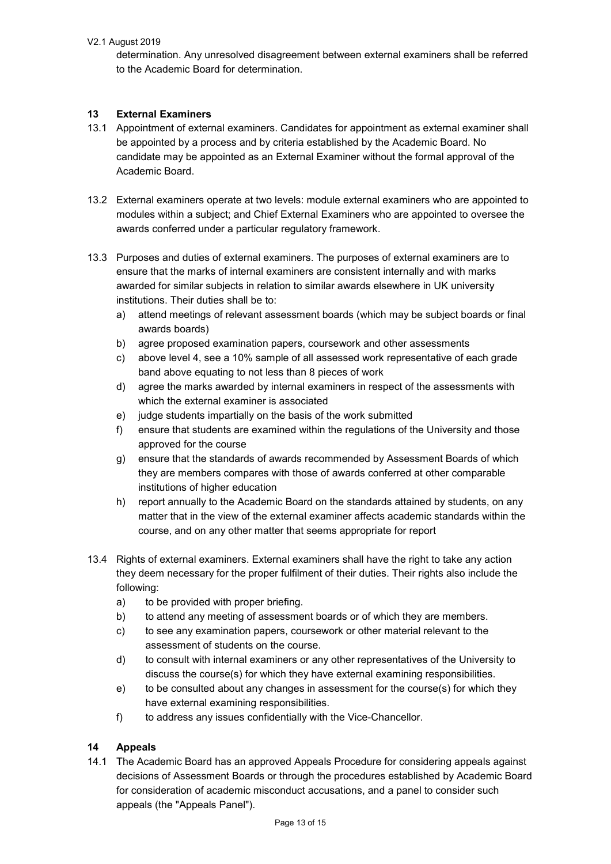determination. Any unresolved disagreement between external examiners shall be referred to the Academic Board for determination.

# **13 External Examiners**

- 13.1 Appointment of external examiners. Candidates for appointment as external examiner shall be appointed by a process and by criteria established by the Academic Board. No candidate may be appointed as an External Examiner without the formal approval of the Academic Board.
- 13.2 External examiners operate at two levels: module external examiners who are appointed to modules within a subject; and Chief External Examiners who are appointed to oversee the awards conferred under a particular regulatory framework.
- 13.3 Purposes and duties of external examiners. The purposes of external examiners are to ensure that the marks of internal examiners are consistent internally and with marks awarded for similar subjects in relation to similar awards elsewhere in UK university institutions. Their duties shall be to:
	- a) attend meetings of relevant assessment boards (which may be subject boards or final awards boards)
	- b) agree proposed examination papers, coursework and other assessments
	- c) above level 4, see a 10% sample of all assessed work representative of each grade band above equating to not less than 8 pieces of work
	- d) agree the marks awarded by internal examiners in respect of the assessments with which the external examiner is associated
	- e) judge students impartially on the basis of the work submitted
	- f) ensure that students are examined within the regulations of the University and those approved for the course
	- g) ensure that the standards of awards recommended by Assessment Boards of which they are members compares with those of awards conferred at other comparable institutions of higher education
	- h) report annually to the Academic Board on the standards attained by students, on any matter that in the view of the external examiner affects academic standards within the course, and on any other matter that seems appropriate for report
- 13.4 Rights of external examiners. External examiners shall have the right to take any action they deem necessary for the proper fulfilment of their duties. Their rights also include the following:
	- a) to be provided with proper briefing.
	- b) to attend any meeting of assessment boards or of which they are members.
	- c) to see any examination papers, coursework or other material relevant to the assessment of students on the course.
	- d) to consult with internal examiners or any other representatives of the University to discuss the course(s) for which they have external examining responsibilities.
	- e) to be consulted about any changes in assessment for the course(s) for which they have external examining responsibilities.
	- f) to address any issues confidentially with the Vice-Chancellor.

#### **14 Appeals**

14.1 The Academic Board has an approved Appeals Procedure for considering appeals against decisions of Assessment Boards or through the procedures established by Academic Board for consideration of academic misconduct accusations, and a panel to consider such appeals (the "Appeals Panel").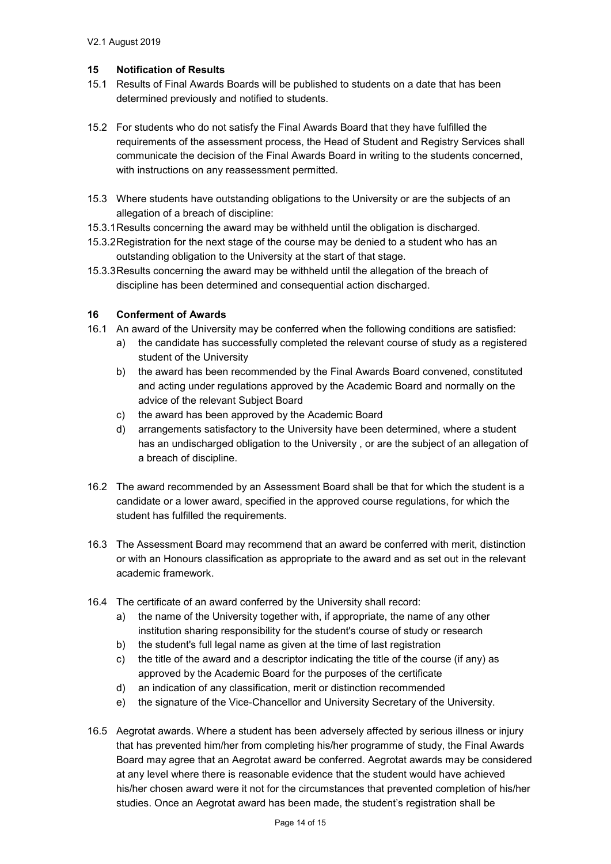### **15 Notification of Results**

- 15.1 Results of Final Awards Boards will be published to students on a date that has been determined previously and notified to students.
- 15.2 For students who do not satisfy the Final Awards Board that they have fulfilled the requirements of the assessment process, the Head of Student and Registry Services shall communicate the decision of the Final Awards Board in writing to the students concerned, with instructions on any reassessment permitted.
- 15.3 Where students have outstanding obligations to the University or are the subjects of an allegation of a breach of discipline:
- 15.3.1Results concerning the award may be withheld until the obligation is discharged.
- 15.3.2Registration for the next stage of the course may be denied to a student who has an outstanding obligation to the University at the start of that stage.
- 15.3.3Results concerning the award may be withheld until the allegation of the breach of discipline has been determined and consequential action discharged.

# **16 Conferment of Awards**

- 16.1 An award of the University may be conferred when the following conditions are satisfied:
	- a) the candidate has successfully completed the relevant course of study as a registered student of the University
	- b) the award has been recommended by the Final Awards Board convened, constituted and acting under regulations approved by the Academic Board and normally on the advice of the relevant Subject Board
	- c) the award has been approved by the Academic Board
	- d) arrangements satisfactory to the University have been determined, where a student has an undischarged obligation to the University , or are the subject of an allegation of a breach of discipline.
- 16.2 The award recommended by an Assessment Board shall be that for which the student is a candidate or a lower award, specified in the approved course regulations, for which the student has fulfilled the requirements.
- 16.3 The Assessment Board may recommend that an award be conferred with merit, distinction or with an Honours classification as appropriate to the award and as set out in the relevant academic framework.
- 16.4 The certificate of an award conferred by the University shall record:
	- a) the name of the University together with, if appropriate, the name of any other institution sharing responsibility for the student's course of study or research
	- b) the student's full legal name as given at the time of last registration
	- c) the title of the award and a descriptor indicating the title of the course (if any) as approved by the Academic Board for the purposes of the certificate
	- d) an indication of any classification, merit or distinction recommended
	- e) the signature of the Vice-Chancellor and University Secretary of the University.
- 16.5 Aegrotat awards. Where a student has been adversely affected by serious illness or injury that has prevented him/her from completing his/her programme of study, the Final Awards Board may agree that an Aegrotat award be conferred. Aegrotat awards may be considered at any level where there is reasonable evidence that the student would have achieved his/her chosen award were it not for the circumstances that prevented completion of his/her studies. Once an Aegrotat award has been made, the student's registration shall be